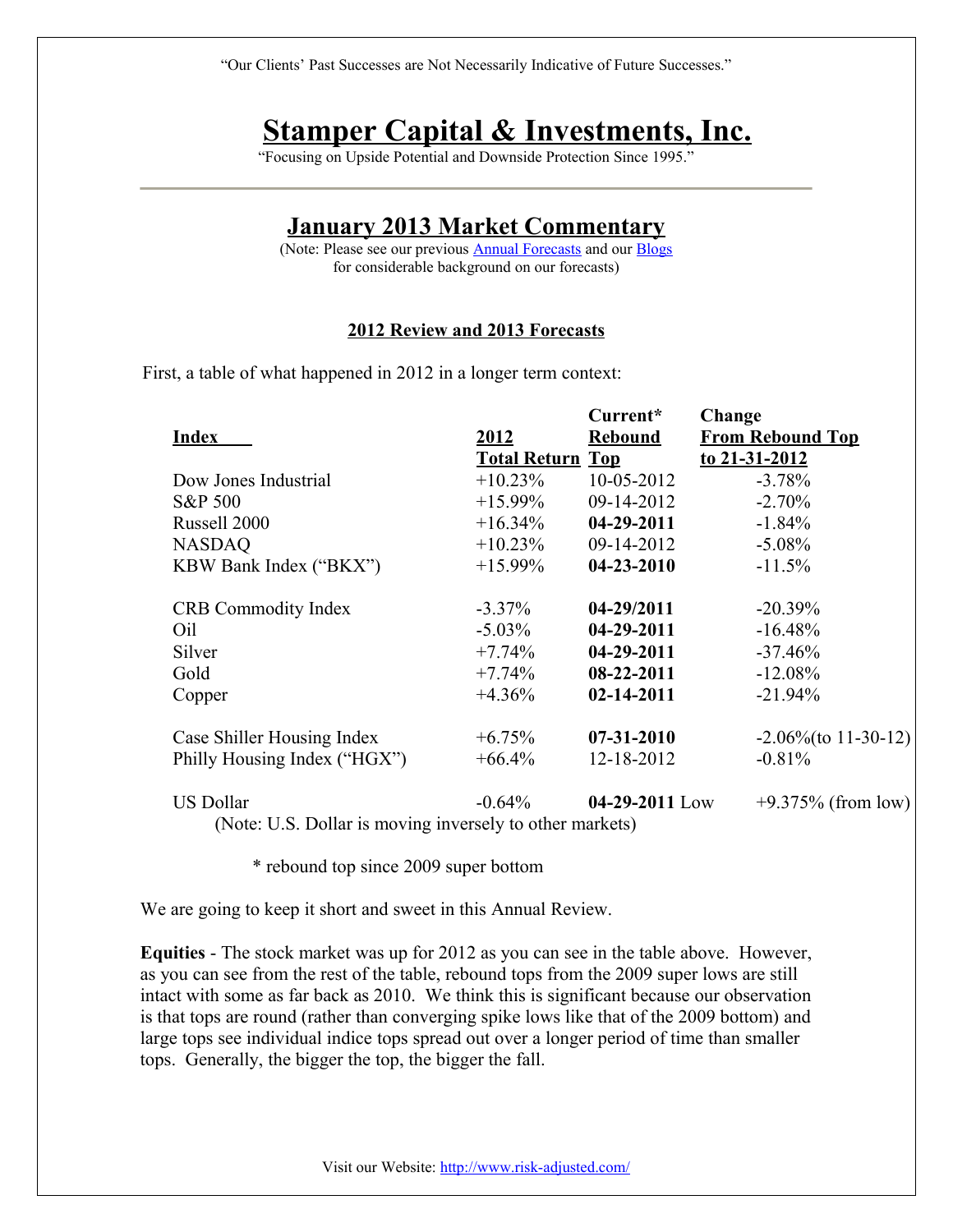# **Stamper Capital & Investments, Inc.**

"Focusing on Upside Potential and Downside Protection Since 1995."

## **January 2013 Market Commentary**

(Note: Please see our previous **Annual Forecasts** and our **Blogs** for considerable background on our forecasts)

#### **2012 Review and 2013 Forecasts**

First, a table of what happened in 2012 in a longer term context:

|                                                          |                         | Current*         | Change                  |
|----------------------------------------------------------|-------------------------|------------------|-------------------------|
| <b>Index</b>                                             | <u>2012</u>             | <b>Rebound</b>   | <b>From Rebound Top</b> |
|                                                          | <b>Total Return Top</b> |                  | to 21-31-2012           |
| Dow Jones Industrial                                     | $+10.23\%$              | $10 - 05 - 2012$ | $-3.78%$                |
| <b>S&amp;P 500</b>                                       | $+15.99\%$              | 09-14-2012       | $-2.70%$                |
| Russell 2000                                             | $+16.34\%$              | 04-29-2011       | $-1.84%$                |
| <b>NASDAQ</b>                                            | $+10.23\%$              | 09-14-2012       | $-5.08\%$               |
| KBW Bank Index ("BKX")                                   | $+15.99\%$              | $04 - 23 - 2010$ | $-11.5%$                |
| <b>CRB</b> Commodity Index                               | $-3.37\%$               | 04-29/2011       | $-20.39\%$              |
| Oil                                                      | $-5.03\%$               | $04-29-2011$     | $-16.48\%$              |
| Silver                                                   | $+7.74\%$               | 04-29-2011       | $-37.46%$               |
| Gold                                                     | $+7.74\%$               | 08-22-2011       | $-12.08\%$              |
| Copper                                                   | $+4.36\%$               | $02 - 14 - 2011$ | $-21.94\%$              |
| Case Shiller Housing Index                               | $+6.75\%$               | $07 - 31 - 2010$ | $-2.06\%$ (to 11-30-12) |
| Philly Housing Index ("HGX")                             | $+66.4\%$               | 12-18-2012       | $-0.81%$                |
| <b>US Dollar</b>                                         | $-0.64\%$               | 04-29-2011 Low   | $+9.375\%$ (from low)   |
| (Note: U.S. Dollar is moving inversely to other markets) |                         |                  |                         |

\* rebound top since 2009 super bottom

We are going to keep it short and sweet in this Annual Review.

**Equities** - The stock market was up for 2012 as you can see in the table above. However, as you can see from the rest of the table, rebound tops from the 2009 super lows are still intact with some as far back as 2010. We think this is significant because our observation is that tops are round (rather than converging spike lows like that of the 2009 bottom) and large tops see individual indice tops spread out over a longer period of time than smaller tops. Generally, the bigger the top, the bigger the fall.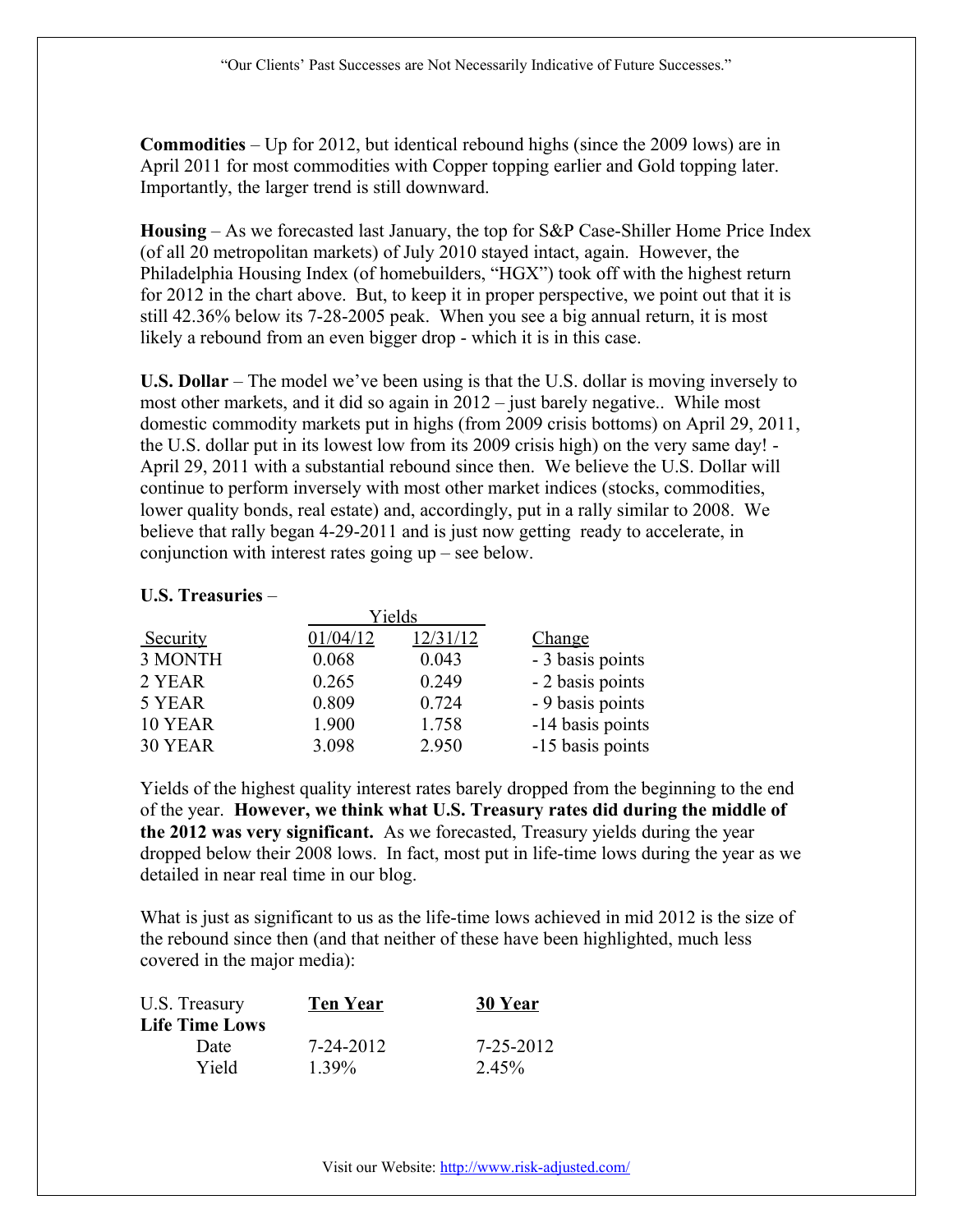**Commodities** – Up for 2012, but identical rebound highs (since the 2009 lows) are in April 2011 for most commodities with Copper topping earlier and Gold topping later. Importantly, the larger trend is still downward.

**Housing** – As we forecasted last January, the top for S&P Case-Shiller Home Price Index (of all 20 metropolitan markets) of July 2010 stayed intact, again. However, the Philadelphia Housing Index (of homebuilders, "HGX") took off with the highest return for 2012 in the chart above. But, to keep it in proper perspective, we point out that it is still 42.36% below its 7-28-2005 peak. When you see a big annual return, it is most likely a rebound from an even bigger drop - which it is in this case.

**U.S. Dollar** – The model we've been using is that the U.S. dollar is moving inversely to most other markets, and it did so again in 2012 – just barely negative.. While most domestic commodity markets put in highs (from 2009 crisis bottoms) on April 29, 2011, the U.S. dollar put in its lowest low from its 2009 crisis high) on the very same day! - April 29, 2011 with a substantial rebound since then. We believe the U.S. Dollar will continue to perform inversely with most other market indices (stocks, commodities, lower quality bonds, real estate) and, accordingly, put in a rally similar to 2008. We believe that rally began 4-29-2011 and is just now getting ready to accelerate, in conjunction with interest rates going up – see below.

## **U.S. Treasuries** –

| Yields   |          |          |                  |
|----------|----------|----------|------------------|
| Security | 01/04/12 | 12/31/12 | Change           |
| 3 MONTH  | 0.068    | 0.043    | - 3 basis points |
| 2 YEAR   | 0.265    | 0.249    | - 2 basis points |
| 5 YEAR   | 0.809    | 0.724    | - 9 basis points |
| 10 YEAR  | 1.900    | 1.758    | -14 basis points |
| 30 YEAR  | 3.098    | 2.950    | -15 basis points |

Yields of the highest quality interest rates barely dropped from the beginning to the end of the year. **However, we think what U.S. Treasury rates did during the middle of the 2012 was very significant.** As we forecasted, Treasury yields during the year dropped below their 2008 lows. In fact, most put in life-time lows during the year as we detailed in near real time in our blog.

What is just as significant to us as the life-time lows achieved in mid 2012 is the size of the rebound since then (and that neither of these have been highlighted, much less covered in the major media):

| <b>Ten Year</b> | 30 Year         |
|-----------------|-----------------|
|                 |                 |
| 7-24-2012       | $7 - 25 - 2012$ |
| $1.39\%$        | 2.45%           |
|                 |                 |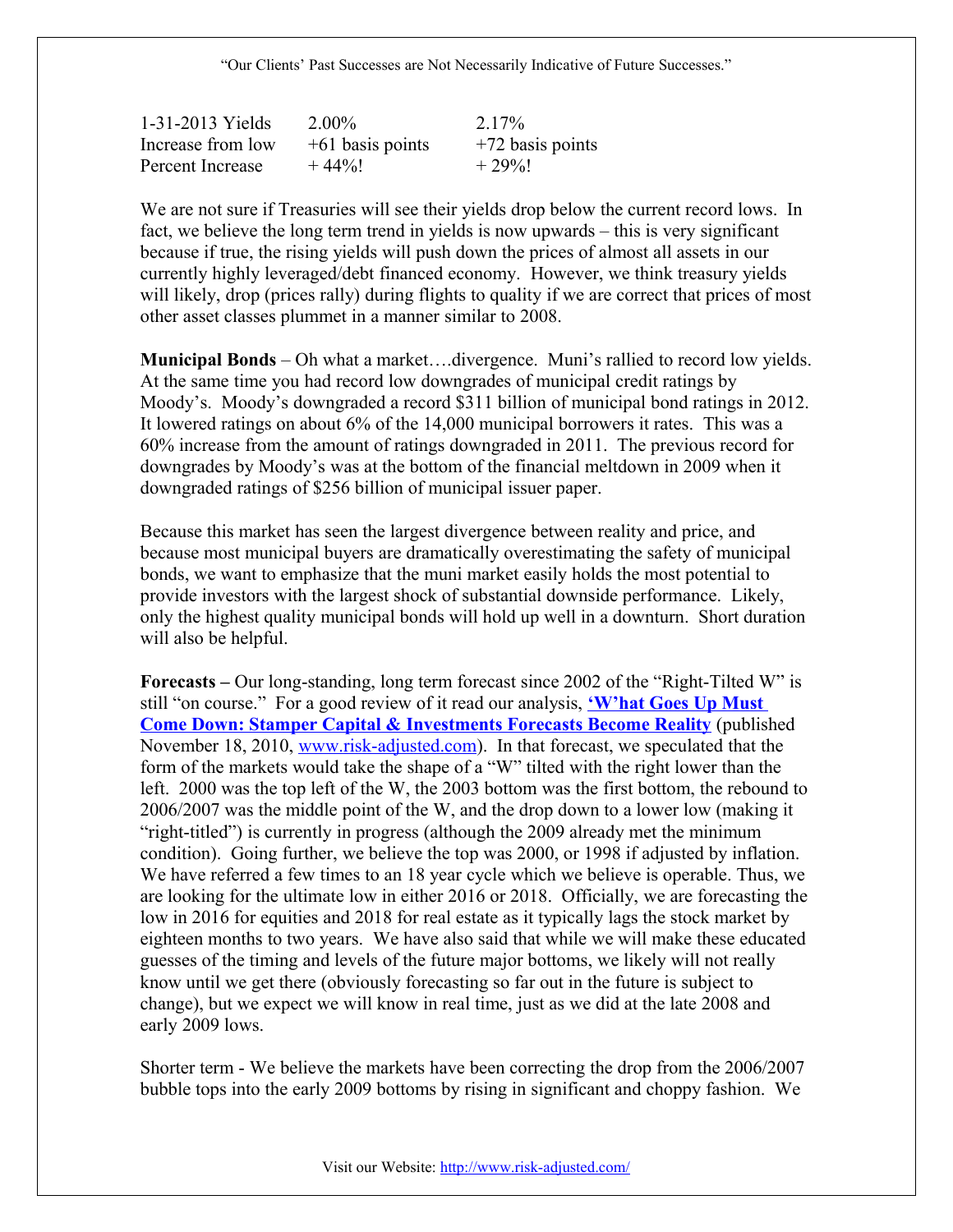| 1-31-2013 Yields  | $2.00\%$           | 2.17%              |
|-------------------|--------------------|--------------------|
| Increase from low | $+61$ basis points | $+72$ basis points |
| Percent Increase  | $+44\%!$           | $+29%$             |

We are not sure if Treasuries will see their yields drop below the current record lows. In fact, we believe the long term trend in yields is now upwards – this is very significant because if true, the rising yields will push down the prices of almost all assets in our currently highly leveraged/debt financed economy. However, we think treasury yields will likely, drop (prices rally) during flights to quality if we are correct that prices of most other asset classes plummet in a manner similar to 2008.

**Municipal Bonds** – Oh what a market….divergence. Muni's rallied to record low yields. At the same time you had record low downgrades of municipal credit ratings by Moody's. Moody's downgraded a record \$311 billion of municipal bond ratings in 2012. It lowered ratings on about 6% of the 14,000 municipal borrowers it rates. This was a 60% increase from the amount of ratings downgraded in 2011. The previous record for downgrades by Moody's was at the bottom of the financial meltdown in 2009 when it downgraded ratings of \$256 billion of municipal issuer paper.

Because this market has seen the largest divergence between reality and price, and because most municipal buyers are dramatically overestimating the safety of municipal bonds, we want to emphasize that the muni market easily holds the most potential to provide investors with the largest shock of substantial downside performance. Likely, only the highest quality municipal bonds will hold up well in a downturn. Short duration will also be helpful.

**Forecasts –** Our long-standing, long term forecast since 2002 of the "Right-Tilted W" is still "on course." For a good review of it read our analysis, **['W'hat Goes Up Must](http://risk-adjusted.com/wordpress/presentations-education-opinions/market-analysis/) [Come Down: Stamper Capital & Investments Forecasts Become Reality](http://risk-adjusted.com/wordpress/presentations-education-opinions/market-analysis/)** (published November 18, 2010, [www.risk-adjusted.com\)](http://www.risk-adjusted.com/). In that forecast, we speculated that the form of the markets would take the shape of a "W" tilted with the right lower than the left. 2000 was the top left of the W, the 2003 bottom was the first bottom, the rebound to 2006/2007 was the middle point of the W, and the drop down to a lower low (making it "right-titled") is currently in progress (although the 2009 already met the minimum condition). Going further, we believe the top was 2000, or 1998 if adjusted by inflation. We have referred a few times to an 18 year cycle which we believe is operable. Thus, we are looking for the ultimate low in either 2016 or 2018. Officially, we are forecasting the low in 2016 for equities and 2018 for real estate as it typically lags the stock market by eighteen months to two years. We have also said that while we will make these educated guesses of the timing and levels of the future major bottoms, we likely will not really know until we get there (obviously forecasting so far out in the future is subject to change), but we expect we will know in real time, just as we did at the late 2008 and early 2009 lows.

Shorter term - We believe the markets have been correcting the drop from the 2006/2007 bubble tops into the early 2009 bottoms by rising in significant and choppy fashion. We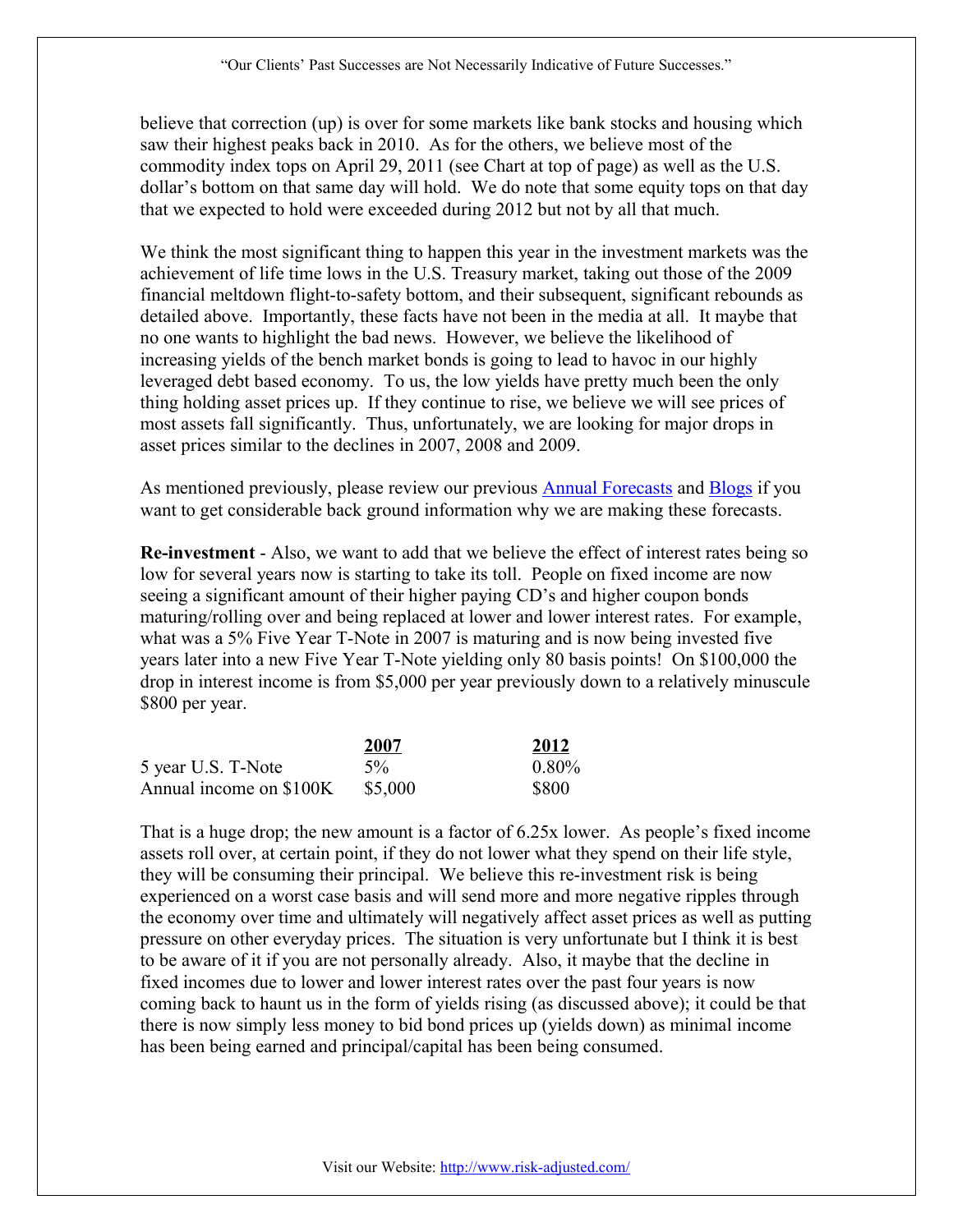believe that correction (up) is over for some markets like bank stocks and housing which saw their highest peaks back in 2010. As for the others, we believe most of the commodity index tops on April 29, 2011 (see Chart at top of page) as well as the U.S. dollar's bottom on that same day will hold. We do note that some equity tops on that day that we expected to hold were exceeded during 2012 but not by all that much.

We think the most significant thing to happen this year in the investment markets was the achievement of life time lows in the U.S. Treasury market, taking out those of the 2009 financial meltdown flight-to-safety bottom, and their subsequent, significant rebounds as detailed above. Importantly, these facts have not been in the media at all. It maybe that no one wants to highlight the bad news. However, we believe the likelihood of increasing yields of the bench market bonds is going to lead to havoc in our highly leveraged debt based economy. To us, the low yields have pretty much been the only thing holding asset prices up. If they continue to rise, we believe we will see prices of most assets fall significantly. Thus, unfortunately, we are looking for major drops in asset prices similar to the declines in 2007, 2008 and 2009.

As mentioned previously, please review our previous [Annual Forecasts](http://risk-adjusted.com/wordpress/presentations-education-opinions/annual-forecasts/) and [Blogs](http://risk-adjusted.com/wordpress/presentations-education-opinions/weblogs/) if you want to get considerable back ground information why we are making these forecasts.

**Re-investment** - Also, we want to add that we believe the effect of interest rates being so low for several years now is starting to take its toll. People on fixed income are now seeing a significant amount of their higher paying CD's and higher coupon bonds maturing/rolling over and being replaced at lower and lower interest rates. For example, what was a 5% Five Year T-Note in 2007 is maturing and is now being invested five years later into a new Five Year T-Note yielding only 80 basis points! On \$100,000 the drop in interest income is from \$5,000 per year previously down to a relatively minuscule \$800 per year.

|                         | 2007    | 2012         |
|-------------------------|---------|--------------|
| 5 year U.S. T-Note      | $5\%$   | $0.80\%$     |
| Annual income on \$100K | \$5,000 | <b>\$800</b> |

That is a huge drop; the new amount is a factor of 6.25x lower. As people's fixed income assets roll over, at certain point, if they do not lower what they spend on their life style, they will be consuming their principal. We believe this re-investment risk is being experienced on a worst case basis and will send more and more negative ripples through the economy over time and ultimately will negatively affect asset prices as well as putting pressure on other everyday prices. The situation is very unfortunate but I think it is best to be aware of it if you are not personally already. Also, it maybe that the decline in fixed incomes due to lower and lower interest rates over the past four years is now coming back to haunt us in the form of yields rising (as discussed above); it could be that there is now simply less money to bid bond prices up (yields down) as minimal income has been being earned and principal/capital has been being consumed.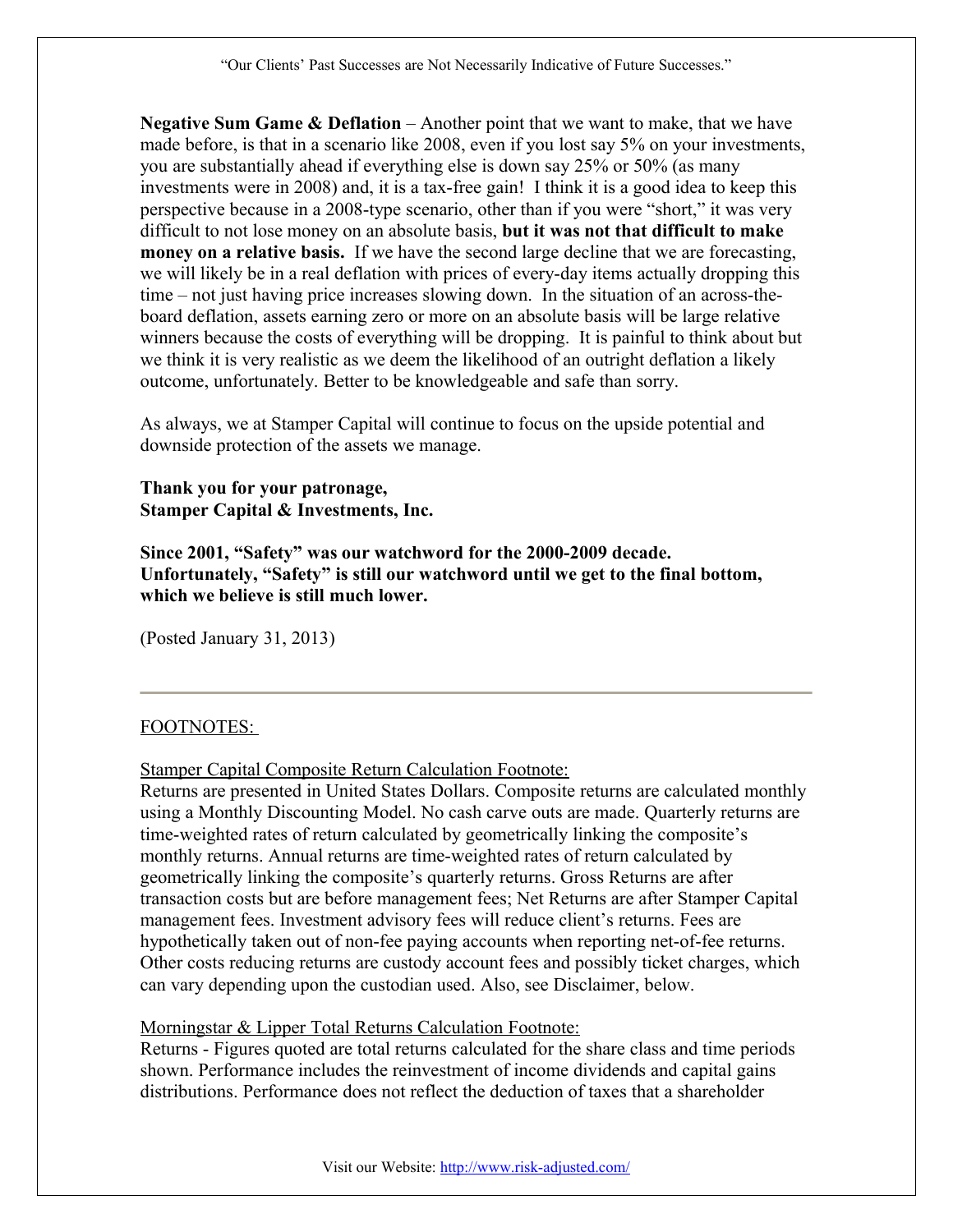**Negative Sum Game & Deflation** – Another point that we want to make, that we have made before, is that in a scenario like 2008, even if you lost say 5% on your investments, you are substantially ahead if everything else is down say 25% or 50% (as many investments were in 2008) and, it is a tax-free gain! I think it is a good idea to keep this perspective because in a 2008-type scenario, other than if you were "short," it was very difficult to not lose money on an absolute basis, **but it was not that difficult to make money on a relative basis.** If we have the second large decline that we are forecasting, we will likely be in a real deflation with prices of every-day items actually dropping this time – not just having price increases slowing down. In the situation of an across-theboard deflation, assets earning zero or more on an absolute basis will be large relative winners because the costs of everything will be dropping. It is painful to think about but we think it is very realistic as we deem the likelihood of an outright deflation a likely outcome, unfortunately. Better to be knowledgeable and safe than sorry.

As always, we at Stamper Capital will continue to focus on the upside potential and downside protection of the assets we manage.

#### **Thank you for your patronage, Stamper Capital & Investments, Inc.**

**Since 2001, "Safety" was our watchword for the 2000-2009 decade. Unfortunately, "Safety" is still our watchword until we get to the final bottom, which we believe is still much lower.**

(Posted January 31, 2013)

#### FOOTNOTES:

Stamper Capital Composite Return Calculation Footnote:

Returns are presented in United States Dollars. Composite returns are calculated monthly using a Monthly Discounting Model. No cash carve outs are made. Quarterly returns are time-weighted rates of return calculated by geometrically linking the composite's monthly returns. Annual returns are time-weighted rates of return calculated by geometrically linking the composite's quarterly returns. Gross Returns are after transaction costs but are before management fees; Net Returns are after Stamper Capital management fees. Investment advisory fees will reduce client's returns. Fees are hypothetically taken out of non-fee paying accounts when reporting net-of-fee returns. Other costs reducing returns are custody account fees and possibly ticket charges, which can vary depending upon the custodian used. Also, see Disclaimer, below.

#### Morningstar & Lipper Total Returns Calculation Footnote:

Returns - Figures quoted are total returns calculated for the share class and time periods shown. Performance includes the reinvestment of income dividends and capital gains distributions. Performance does not reflect the deduction of taxes that a shareholder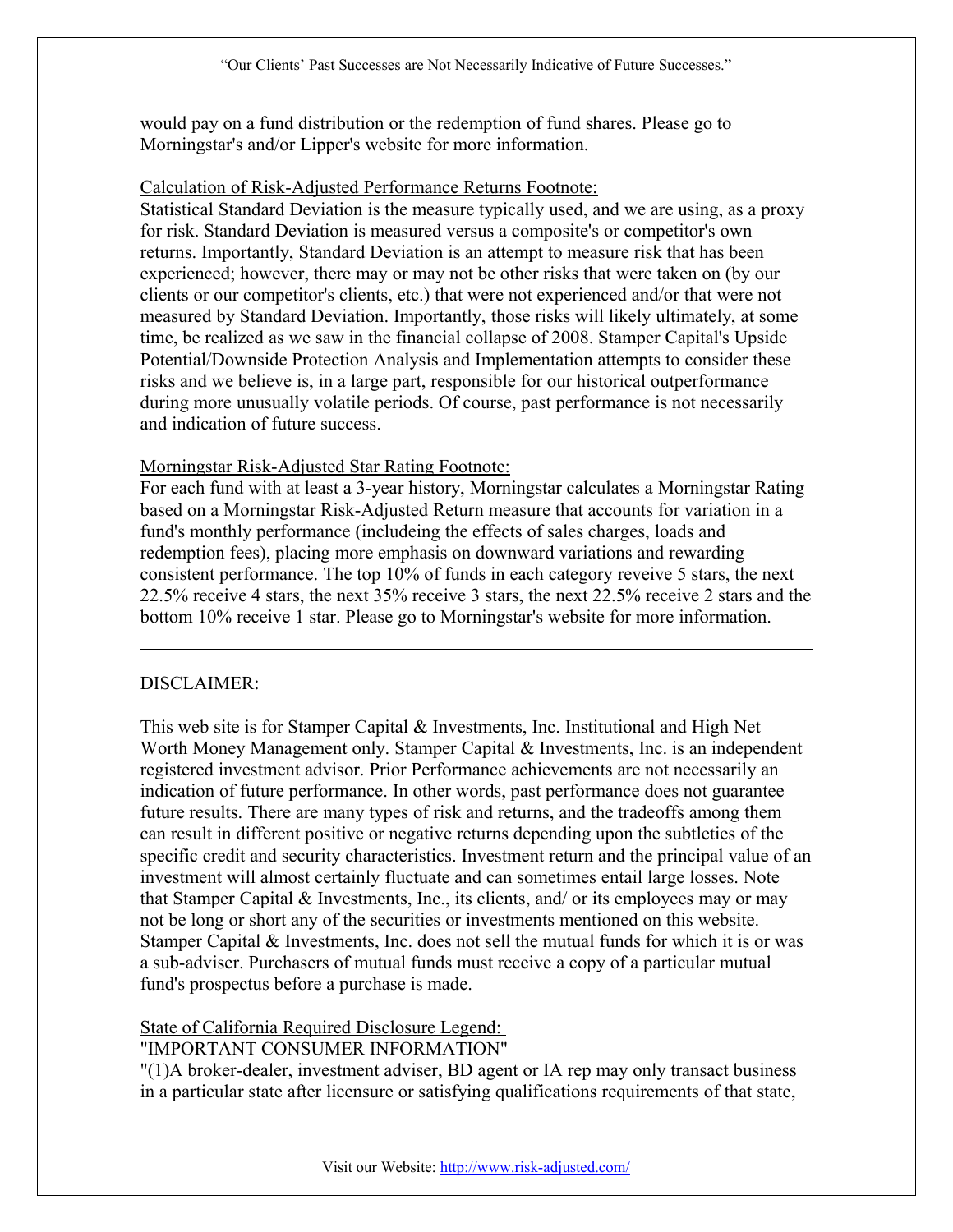would pay on a fund distribution or the redemption of fund shares. Please go to Morningstar's and/or Lipper's website for more information.

#### Calculation of Risk-Adjusted Performance Returns Footnote:

Statistical Standard Deviation is the measure typically used, and we are using, as a proxy for risk. Standard Deviation is measured versus a composite's or competitor's own returns. Importantly, Standard Deviation is an attempt to measure risk that has been experienced; however, there may or may not be other risks that were taken on (by our clients or our competitor's clients, etc.) that were not experienced and/or that were not measured by Standard Deviation. Importantly, those risks will likely ultimately, at some time, be realized as we saw in the financial collapse of 2008. Stamper Capital's Upside Potential/Downside Protection Analysis and Implementation attempts to consider these risks and we believe is, in a large part, responsible for our historical outperformance during more unusually volatile periods. Of course, past performance is not necessarily and indication of future success.

#### Morningstar Risk-Adjusted Star Rating Footnote:

For each fund with at least a 3-year history, Morningstar calculates a Morningstar Rating based on a Morningstar Risk-Adjusted Return measure that accounts for variation in a fund's monthly performance (includeing the effects of sales charges, loads and redemption fees), placing more emphasis on downward variations and rewarding consistent performance. The top 10% of funds in each category reveive 5 stars, the next 22.5% receive 4 stars, the next 35% receive 3 stars, the next 22.5% receive 2 stars and the bottom 10% receive 1 star. Please go to Morningstar's website for more information.

#### DISCLAIMER:

This web site is for Stamper Capital & Investments, Inc. Institutional and High Net Worth Money Management only. Stamper Capital & Investments, Inc. is an independent registered investment advisor. Prior Performance achievements are not necessarily an indication of future performance. In other words, past performance does not guarantee future results. There are many types of risk and returns, and the tradeoffs among them can result in different positive or negative returns depending upon the subtleties of the specific credit and security characteristics. Investment return and the principal value of an investment will almost certainly fluctuate and can sometimes entail large losses. Note that Stamper Capital & Investments, Inc., its clients, and/ or its employees may or may not be long or short any of the securities or investments mentioned on this website. Stamper Capital & Investments, Inc. does not sell the mutual funds for which it is or was a sub-adviser. Purchasers of mutual funds must receive a copy of a particular mutual fund's prospectus before a purchase is made.

# State of California Required Disclosure Legend:

### "IMPORTANT CONSUMER INFORMATION"

"(1)A broker-dealer, investment adviser, BD agent or IA rep may only transact business in a particular state after licensure or satisfying qualifications requirements of that state,